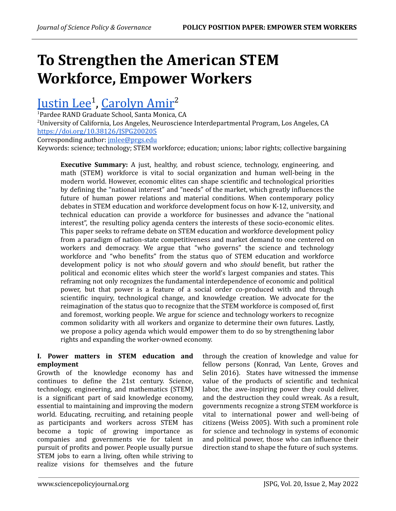# **To Strengthen the American STEM Workforce, Empower Workers**

# [Justin](https://orcid.org/0000-0001-5408-6848) Lee<sup>1</sup>, [Carolyn](https://orcid.org/0000-0001-9078-8564) Amir<sup>2</sup>

<sup>1</sup>Pardee RAND Graduate School, Santa Monica, CA <sup>2</sup>University of California, Los Angeles, Neuroscience Interdepartmental Program, Los Angeles, CA <https://doi.org/10.38126/JSPG200205>

Corresponding author: [jmlee@prgs.edu](http://jmlee@prgs.edu)

Keywords: science; technology; STEM workforce; education; unions; labor rights; collective bargaining

**Executive Summary:** A just, healthy, and robust science, technology, engineering, and math (STEM) workforce is vital to social organization and human well-being in the modern world. However, economic elites can shape scientific and technological priorities by defining the "national interest" and "needs" of the market, which greatly influences the future of human power relations and material conditions. When contemporary policy debates in STEM education and workforce development focus on how K-12, university, and technical education can provide a workforce for businesses and advance the "national interest", the resulting policy agenda centers the interests of these socio-economic elites. This paper seeks to reframe debate on STEM education and workforce development policy from a paradigm of nation-state competitiveness and market demand to one centered on workers and democracy. We argue that "who governs" the science and technology workforce and "who benefits" from the status quo of STEM education and workforce development policy is not who *should* govern and who *should* benefit, but rather the political and economic elites which steer the world's largest companies and states. This reframing not only recognizes the fundamental interdependence of economic and political power, but that power is a feature of a social order co-produced with and through scientific inquiry, technological change, and knowledge creation. We advocate for the reimagination of the status quo to recognize that the STEM workforce is composed of, first and foremost, working people. We argue for science and technology workers to recognize common solidarity with all workers and organize to determine their own futures. Lastly, we propose a policy agenda which would empower them to do so by strengthening labor rights and expanding the worker-owned economy.

# **I. Power matters in STEM education and employment**

Growth of the knowledge economy has and continues to define the 21st century. Science, technology, engineering, and mathematics (STEM) is a significant part of said knowledge economy, essential to maintaining and improving the modern world. Educating, recruiting, and retaining people as participants and workers across STEM has become a topic of growing importance as companies and governments vie for talent in pursuit of profits and power. People usually pursue STEM jobs to earn a living, often while striving to realize visions for themselves and the future through the creation of knowledge and value for fellow persons (Konrad, Van Lente, Groves and Selin 2016). States have witnessed the immense value of the products of scientific and technical labor, the awe-inspiring power they could deliver, and the destruction they could wreak. As a result, governments recognize a strong STEM workforce is vital to international power and well-being of citizens (Weiss 2005). With such a prominent role for science and technology in systems of economic and political power, those who can influence their direction stand to shape the future of such systems.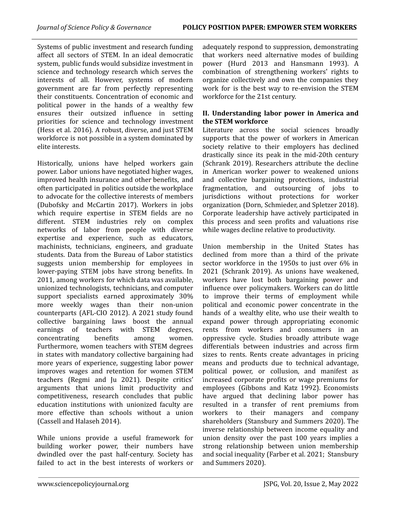Systems of public investment and research funding affect all sectors of STEM. In an ideal democratic system, public funds would subsidize investment in science and technology research which serves the interests of all. However, systems of modern government are far from perfectly representing their constituents. Concentration of economic and political power in the hands of a wealthy few ensures their outsized influence in setting priorities for science and technology investment (Hess et al. 2016). A robust, diverse, and just STEM workforce is not possible in a system dominated by elite interests.

Historically, unions have helped workers gain power. Labor unions have negotiated higher wages, improved health insurance and other benefits, and often participated in politics outside the workplace to advocate for the collective interests of members (Dubofsky and McCartin 2017). Workers in jobs which require expertise in STEM fields are no different. STEM industries rely on complex networks of labor from people with diverse expertise and experience, such as educators, machinists, technicians, engineers, and graduate students. Data from the Bureau of Labor statistics suggests union membership for employees in lower-paying STEM jobs have strong benefits. In 2011, among workers for which data was available, unionized technologists, technicians, and computer support specialists earned approximately 30% more weekly wages than their non-union counterparts (AFL-CIO 2012). A 2021 study found collective bargaining laws boost the annual earnings of teachers with STEM degrees, concentrating benefits among women. Furthermore, women teachers with STEM degrees in states with mandatory collective bargaining had more years of experience, suggesting labor power improves wages and retention for women STEM teachers (Regmi and Ju 2021). Despite critics' arguments that unions limit productivity and competitiveness, research concludes that public education institutions with unionized faculty are more effective than schools without a union (Cassell and Halaseh 2014).

While unions provide a useful framework for building worker power, their numbers have dwindled over the past half-century. Society has failed to act in the best interests of workers or adequately respond to suppression, demonstrating that workers need alternative modes of building power (Hurd 2013 and Hansmann 1993). A combination of strengthening workers' rights to organize collectively and own the companies they work for is the best way to re-envision the STEM workforce for the 21st century.

# **II. Understanding labor power in America and the STEM workforce**

Literature across the social sciences broadly supports that the power of workers in American society relative to their employers has declined drastically since its peak in the mid-20th century (Schrank 2019). Researchers attribute the decline in American worker power to weakened unions and collective bargaining protections, industrial fragmentation, and outsourcing of jobs to jurisdictions without protections for worker organization (Dorn, Schmieder, and Spletzer 2018). Corporate leadership have actively participated in this process and seen profits and valuations rise while wages decline relative to productivity.

Union membership in the United States has declined from more than a third of the private sector workforce in the 1950s to just over 6% in 2021 (Schrank 2019). As unions have weakened, workers have lost both bargaining power and influence over policymakers. Workers can do little to improve their terms of employment while political and economic power concentrate in the hands of a wealthy elite, who use their wealth to expand power through appropriating economic rents from workers and consumers in an oppressive cycle. Studies broadly attribute wage differentials between industries and across firm sizes to rents. Rents create advantages in pricing means and products due to technical advantage, political power, or collusion, and manifest as increased corporate profits or wage premiums for employees (Gibbons and Katz 1992). Economists have argued that declining labor power has resulted in a transfer of rent premiums from workers to their managers and company shareholders (Stansbury and Summers 2020). The inverse relationship between income equality and union density over the past 100 years implies a strong relationship between union membership and social inequality (Farber et al. 2021; Stansbury and Summers 2020).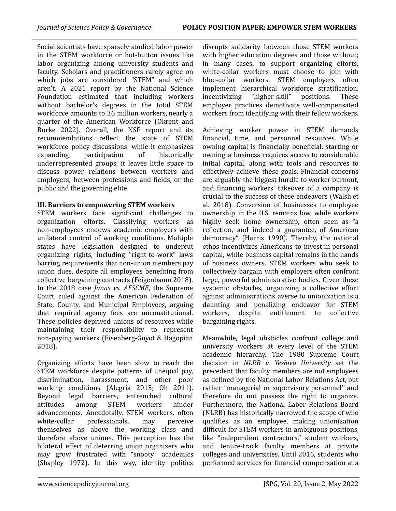Social scientists have sparsely studied labor power in the STEM workforce or hot-button issues like labor organizing among university students and faculty. Scholars and practitioners rarely agree on which jobs are considered "STEM" and which aren't. A 2021 report by the National Science Foundation estimated that including workers without bachelor's degrees in the total STEM workforce amounts to 36 million workers, nearly a quarter of the American Workforce (Okrent and Burke 2022). Overall, the NSF report and its recommendations reflect the state of STEM workforce policy discussions: while it emphasizes expanding participation of historically underrepresented groups, it leaves little space to discuss power relations between workers and employers, between professions and fields, or the public and the governing elite.

# **III. Barriers to empowering STEM workers**

STEM workers face significant challenges to organization efforts. Classifying workers as non-employees endows academic employers with unilateral control of working conditions. Multiple states have legislation designed to undercut organizing rights, including "right-to-work" laws barring requirements that non-union members pay union dues, despite all employees benefiting from collective bargaining contracts (Feigenbaum 2018). In the 2018 case *Janus vs. AFSCME*, the Supreme Court ruled against the American Federation of State, County, and Municipal Employees, arguing that required agency fees are unconstitutional. These policies deprived unions of resources while maintaining their responsibility to represent non-paying workers (Eisenberg-Guyot & Hagopian 2018).

Organizing efforts have been slow to reach the STEM workforce despite patterns of unequal pay, discrimination, harassment, and other poor working conditions (Alegria 2015; Oh 2011). Beyond legal barriers, entrenched cultural attitudes among STEM workers hinder advancements. Anecdotally, STEM workers, often white-collar professionals, may perceive themselves as above the working class and therefore above unions. This perception has the bilateral effect of deterring union organizers who may grow frustrated with "snooty" academics (Shapley 1972). In this way, identity politics

disrupts solidarity between those STEM workers with higher education degrees and those without; in many cases, to support organizing efforts, white-collar workers must choose to join with blue-collar workers. STEM employers often implement hierarchical workforce stratification, incentivizing "higher-skill" positions. These employer practices demotivate well-compensated workers from identifying with their fellow workers.

Achieving worker power in STEM demands financial, time, and personnel resources. While owning capital is financially beneficial, starting or owning a business requires access to considerable initial capital, along with tools and resources to effectively achieve these goals. Financial concerns are arguably the biggest hurdle to worker burnout, and financing workers' takeover of a company is crucial to the success of these endeavors (Walsh et al. 2018). Conversion of businesses to employee ownership in the U.S. remains low, while workers highly seek home ownership, often seen as "a reflection, and indeed a guarantee, of American democracy" (Harris 1990). Thereby, the national ethos incentivizes Americans to invest in personal capital, while business capital remains in the hands of business owners. STEM workers who seek to collectively bargain with employers often confront large, powerful administrative bodies. Given these systemic obstacles, organizing a collective effort against administrations averse to unionization is a daunting and penalizing endeavor for STEM workers, despite entitlement to collective bargaining rights.

Meanwhile, legal obstacles confront college and university workers at every level of the STEM academic hierarchy. The 1980 Supreme Court decision in *NLRB v. Yeshiva University* set the precedent that faculty members are not employees as defined by the National Labor Relations Act, but rather "managerial or supervisory personnel'' and therefore do not possess the right to organize. Furthermore, the National Labor Relations Board (NLRB) has historically narrowed the scope of who qualifies as an employee, making unionization difficult for STEM workers in ambiguous positions, like "independent contractors," student workers, and tenure-track faculty members at private colleges and universities. Until 2016, students who performed services for financial compensation at a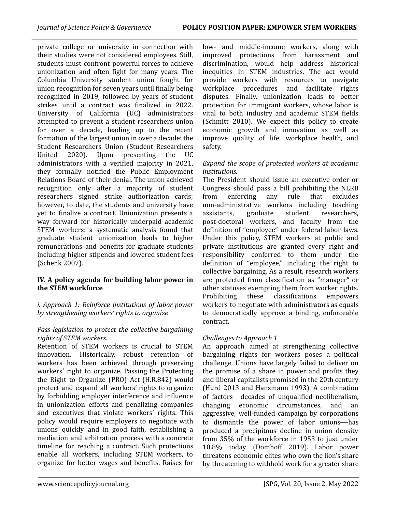private college or university in connection with their studies were not considered employees. Still, students must confront powerful forces to achieve unionization and often fight for many years. The Columbia University student union fought for union recognition for seven years until finally being recognized in 2019, followed by years of student strikes until a contract was finalized in 2022. University of California (UC) administrators attempted to prevent a student researchers union for over a decade, leading up to the recent formation of the largest union in over a decade: the Student Researchers Union (Student Researchers United 2020). Upon presenting the UC administrators with a verified majority in 2021, they formally notified the Public Employment Relations Board of their denial. The union achieved recognition only after a majority of student researchers signed strike authorization cards; however, to date, the students and university have yet to finalize a contract. Unionization presents a way forward for historically underpaid academic STEM workers: a systematic analysis found that graduate student unionization leads to higher remunerations and benefits for graduate students including higher stipends and lowered student fees (Schenk 2007).

# **IV. A policy agenda for building labor power in the STEM workforce**

*i. Approach 1: Reinforce institutions of labor power by strengthening workers' rights to organize*

# *Pass legislation to protect the collective bargaining rights of STEM workers.*

Retention of STEM workers is crucial to STEM innovation. Historically, robust retention of workers has been achieved through preserving workers' right to organize. Passing the Protecting the Right to Organize (PRO) Act (H.R.842) would protect and expand all workers' rights to organize by forbidding employer interference and influence in unionization efforts and penalizing companies and executives that violate workers' rights. This policy would require employers to negotiate with unions quickly and in good faith, establishing a mediation and arbitration process with a concrete timeline for reaching a contract. Such protections enable all workers, including STEM workers, to organize for better wages and benefits. Raises for low- and middle-income workers, along with improved protections from harassment and discrimination, would help address historical inequities in STEM industries. The act would provide workers with resources to navigate workplace procedures and facilitate rights disputes. Finally, unionization leads to better protection for immigrant workers, whose labor is vital to both industry and academic STEM fields (Schmitt 2010). We expect this policy to create economic growth and innovation as well as improve quality of life, workplace health, and safety.

# *Expand the scope of protected workers at academic institutions.*

The President should issue an executive order or Congress should pass a bill prohibiting the NLRB from enforcing any rule that excludes non-administrative workers including teaching assistants, graduate student researchers, post-doctoral workers, and faculty from the definition of "employee" under federal labor laws. Under this policy, STEM workers at public and private institutions are granted every right and responsibility conferred to them under the definition of "employee," including the right to collective bargaining. As a result, research workers are protected from classification as "manager" or other statuses exempting them from worker rights. Prohibiting these classifications empowers workers to negotiate with administrators as equals to democratically approve a binding, enforceable contract.

# *Challenges to Approach 1*

An approach aimed at strengthening collective bargaining rights for workers poses a political challenge. Unions have largely failed to deliver on the promise of a share in power and profits they and liberal capitalists promised in the 20th century (Hurd 2013 and Hansmann 1993). A combination of factors—decades of unqualified neoliberalism, changing economic circumstances, and an aggressive, well-funded campaign by corporations to dismantle the power of labor unions—has produced a precipitous decline in union density from 35% of the workforce in 1953 to just under 10.8% today (Domhoff 2019). Labor power threatens economic elites who own the lion's share by threatening to withhold work for a greater share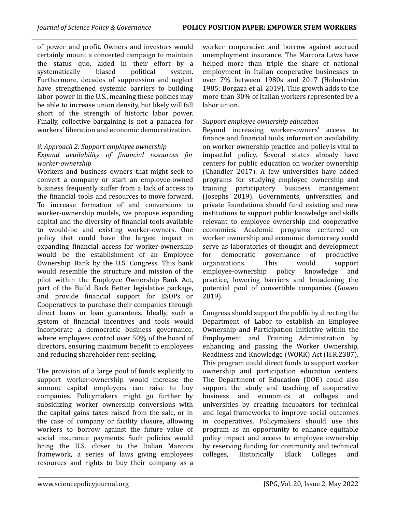of power and profit. Owners and investors would certainly mount a concerted campaign to maintain the status quo, aided in their effort by a systematically biased political system. Furthermore, decades of suppression and neglect have strengthened systemic barriers to building labor power in the U.S., meaning these policies may be able to increase union density, but likely will fall short of the strength of historic labor power. Finally, collective bargaining is not a panacea for workers' liberation and economic democratization.

#### *ii. Approach 2: Support employee ownership Expand availability of financial resources for worker-ownership*

Workers and business owners that might seek to convert a company or start an employee-owned business frequently suffer from a lack of access to the financial tools and resources to move forward. To increase formation of and conversions to worker-ownership models, we propose expanding capital and the diversity of financial tools available to would-be and existing worker-owners. One policy that could have the largest impact in expanding financial access for worker-ownership would be the establishment of an Employee Ownership Bank by the U.S. Congress. This bank would resemble the structure and mission of the pilot within the Employee Ownership Bank Act, part of the Build Back Better legislative package, and provide financial support for ESOPs or Cooperatives to purchase their companies through direct loans or loan guarantees. Ideally, such a system of financial incentives and tools would incorporate a democratic business governance, where employees control over 50% of the board of directors, ensuring maximum benefit to employees and reducing shareholder rent-seeking.

The provision of a large pool of funds explicitly to support worker-ownership would increase the amount capital employees can raise to buy companies. Policymakers might go further by subsidizing worker ownership conversions with the capital gains taxes raised from the sale, or in the case of company or facility closure, allowing workers to borrow against the future value of social insurance payments. Such policies would bring the U.S. closer to the Italian Marcora framework, a series of laws giving employees resources and rights to buy their company as a

worker cooperative and borrow against accrued unemployment insurance. The Marcora Laws have helped more than triple the share of national employment in Italian cooperative businesses to over 7% between 1980s and 2017 (Holmström 1985; Borgaza et al. 2019). This growth adds to the more than 30% of Italian workers represented by a labor union.

# *Support employee ownership education*

Beyond increasing worker-owners' access to finance and financial tools, information availability on worker ownership practice and policy is vital to impactful policy. Several states already have centers for public education on worker ownership (Chandler 2017). A few universities have added programs for studying employee ownership and training participatory business management (Josephs 2019). Governments, universities, and private foundations should fund existing and new institutions to support public knowledge and skills relevant to employee ownership and cooperative economies. Academic programs centered on worker ownership and economic democracy could serve as laboratories of thought and development for democratic governance of productive organizations. This would support employee-ownership policy knowledge and practice, lowering barriers and broadening the potential pool of convertible companies (Gowen 2019).

Congress should support the public by directing the Department of Labor to establish an Employee Ownership and Participation Initiative within the Employment and Training Administration by enhancing and passing the Worker Ownership, Readiness and Knowledge (WORK) Act (H.R.2387). This program could direct funds to support worker ownership and participation education centers. The Department of Education (DOE) could also support the study and teaching of cooperative business and economics at colleges and universities by creating incubators for technical and legal frameworks to improve social outcomes in cooperatives. Policymakers should use this program as an opportunity to enhance equitable policy impact and access to employee ownership by reserving funding for community and technical colleges, Historically Black Colleges and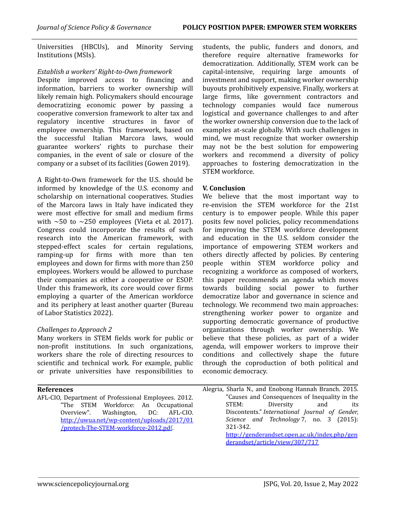Universities (HBCUs), and Minority Serving Institutions (MSIs).

# *Establish a workers' Right-to-Own framework*

Despite improved access to financing and information, barriers to worker ownership will likely remain high. Policymakers should encourage democratizing economic power by passing a cooperative conversion framework to alter tax and regulatory incentive structures in favor of employee ownership. This framework, based on the successful Italian Marcora laws, would guarantee workers' rights to purchase their companies, in the event of sale or closure of the company or a subset of its facilities (Gowen 2019).

A Right-to-Own framework for the U.S. should be informed by knowledge of the U.S. economy and scholarship on international cooperatives. Studies of the Marcora laws in Italy have indicated they were most effective for small and medium firms with  $\sim$ 50 to  $\sim$ 250 employees (Vieta et al. 2017). Congress could incorporate the results of such research into the American framework, with stepped-effect scales for certain regulations, ramping-up for firms with more than ten employees and down for firms with more than 250 employees. Workers would be allowed to purchase their companies as either a cooperative or ESOP. Under this framework, its core would cover firms employing a quarter of the American workforce and its periphery at least another quarter (Bureau of Labor Statistics 2022).

# *Challenges to Approach 2*

Many workers in STEM fields work for public or non-profit institutions. In such organizations, workers share the role of directing resources to scientific and technical work. For example, public or private universities have responsibilities to

#### **References**

AFL-CIO, Department of Professional Employees. 2012. "The STEM Workforce: An Occupational Overview". Washington, DC: AFL-CIO. [http://uwua.net/wp-content/uploads/2017/01](http://uwua.net/wp-content/uploads/2017/01/protech-The-STEM-workforce-2012.pdf) [/protech-The-STEM-workforce-2012.pdf](http://uwua.net/wp-content/uploads/2017/01/protech-The-STEM-workforce-2012.pdf).

students, the public, funders and donors, and therefore require alternative frameworks for democratization. Additionally, STEM work can be capital-intensive, requiring large amounts of investment and support, making worker ownership buyouts prohibitively expensive. Finally, workers at large firms, like government contractors and technology companies would face numerous logistical and governance challenges to and after the worker ownership conversion due to the lack of examples at-scale globally. With such challenges in mind, we must recognize that worker ownership may not be the best solution for empowering workers and recommend a diversity of policy approaches to fostering democratization in the STEM workforce.

#### **V. Conclusion**

We believe that the most important way to re-envision the STEM workforce for the 21st century is to empower people. While this paper posits few novel policies, policy recommendations for improving the STEM workforce development and education in the U.S. seldom consider the importance of empowering STEM workers and others directly affected by policies. By centering people within STEM workforce policy and recognizing a workforce as composed of workers, this paper recommends an agenda which moves towards building social power to further democratize labor and governance in science and technology. We recommend two main approaches: strengthening worker power to organize and supporting democratic governance of productive organizations through worker ownership. We believe that these policies, as part of a wider agenda, will empower workers to improve their conditions and collectively shape the future through the coproduction of both political and economic democracy.

Alegria, Sharla N., and Enobong Hannah Branch. 2015. "Causes and Consequences of Inequality in the STEM: Diversity and its Discontents." *International Journal of Gender, Science and Technology* 7, no. 3 (2015): 321-342. [http://genderandset.open.ac.uk/index.php/gen](http://genderandset.open.ac.uk/index.php/genderandset/article/view/307/717) [derandset/article/view/307/717](http://genderandset.open.ac.uk/index.php/genderandset/article/view/307/717)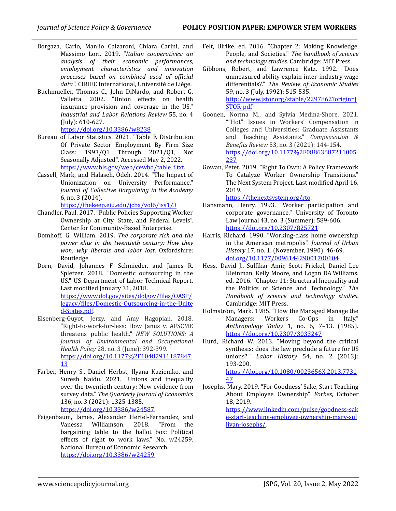- Borgaza, Carlo, Manlio Calzaroni, Chiara Carini, and Massimo Lori. 2019. "*Italian cooperatives: an analysis of their economic performances, employment characteristics and innovation processes based on combined used of of icial data"*. CIRIEC International, Université de Liège.
- Buchmueller, Thomas C., John DiNardo, and Robert G. Valletta. 2002. "Union effects on health insurance provision and coverage in the US." *Industrial and Labor Relations Review* 55, no. 4 (July): 610-627.

<https://doi.org/10.3386/w8238>

- Bureau of Labor Statistics. 2021. "Table F. Distribution Of Private Sector Employment By Firm Size Class: 1993/Q1 Through 2021/Q1, Not Seasonally Adjusted". Accessed May 2, 2022. https://www.bls.gov/web/cewbd/table\_f.txt
- Cassell, Mark, and Halaseh, Odeh. 2014. "The Impact of Unionization on University Performance." *Journal of Collective Bargaining in the Academy* 6, no. 3 (2014). <https://thekeep.eiu.edu/jcba/vol6/iss1/3>
- Chandler, Paul. 2017. "Public Policies Supporting Worker Ownership at City, State, and Federal Levels". Center for Community-Based Enterprise.
- Domhoff, G. William. 2019. *The corporate rich and the power elite in the twentieth century: How they won, why liberals and labor lost*. Oxfordshire: Routledge.
- Dorn, David, Johannes F. Schmieder, and James R. Spletzer. 2018. "Domestic outsourcing in the US." US Department of Labor Technical Report. Last modified January 31, 2018. [https://www.dol.gov/sites/dolgov/files/OASP/](https://www.dol.gov/sites/dolgov/files/OASP/legacy/files/Domestic-Outsourcing-in-the-United-States.pdf) [legacy/files/Domestic-Outsourcing-in-the-Unite](https://www.dol.gov/sites/dolgov/files/OASP/legacy/files/Domestic-Outsourcing-in-the-United-States.pdf) [d-States.pdf](https://www.dol.gov/sites/dolgov/files/OASP/legacy/files/Domestic-Outsourcing-in-the-United-States.pdf).
- Eisenberg-Guyot, Jerzy, and Amy Hagopian. 2018. "Right-to-work-for-less: How Janus v. AFSCME threatens public health." *NEW SOLUTIONS: A Journal of Environmental and Occupational Health Policy* 28, no. 3 (June): 392-399. [https://doi.org/10.1177%2F10482911187847](https://doi.org/10.1177%2F1048291118784713) [13](https://doi.org/10.1177%2F1048291118784713)
- Farber, Henry S., Daniel Herbst, Ilyana Kuziemko, and Suresh Naidu. 2021. "Unions and inequality over the twentieth century: New evidence from survey data." *The Quarterly Journal of Economics* 136, no. 3 (2021): 1325-1385. <https://doi.org/10.3386/w24587>
- Feigenbaum, James, Alexander Hertel-Fernandez, and Vanessa Williamson. 2018. "From the bargaining table to the ballot box: Political effects of right to work laws." No. w24259. National Bureau of Economic Research. <https://doi.org/10.3386/w24259>
- Felt, Ulrike. ed. 2016. "Chapter 2: Making Knowledge, People, and Societies." *The handbook of science and technology studies*. Cambridge: MIT Press.
- Gibbons, Robert, and Lawrence Katz. 1992. "Does unmeasured ability explain inter-industry wage differentials?." *The Review of Economic Studies* 59, no. 3 (July, 1992): 515-535. [http://www.jstor.org/stable/2297862?origin=J](http://www.jstor.org/stable/2297862?origin=JSTOR-pdf) [STOR-pdf](http://www.jstor.org/stable/2297862?origin=JSTOR-pdf)
- Goonen, Norma M., and Sylvia Medina-Shore. 2021. ""Hot" Issues in Workers' Compensation in Colleges and Universities: Graduate Assistants and Teaching Assistants." *Compensation & Benefits Review* 53, no. 3 (2021): 144-154. [https://doi.org/10.1177%2F08863687211005](https://doi.org/10.1177%2F08863687211005237) [237](https://doi.org/10.1177%2F08863687211005237)
- Gowan, Peter. 2019. "Right To Own: A Policy Framework To Catalyze Worker Ownership Transitions." The Next System Project. Last modified April 16, 2019.

<https://thenextsystem.org/rto>.

- Hansmann, Henry. 1993. "Worker participation and corporate governance." University of Toronto Law Journal 43, no. 3 (Summer): 589-606. <https://doi.org/10.2307/825721>
- Harris, Richard. 1990. "Working-class home ownership in the American metropolis". *Journal of Urban History* 17, no. 1. (November, 1990): 46-69. [doi.org/10.1177/009614429001700104](https://doi.org/10.1177/009614429001700104)
- Hess, David J., Sulfikar Amir, Scott Frickel, Daniel Lee Kleinman, Kelly Moore, and Logan DA Williams. ed. 2016. "Chapter 11: Structural Inequality and the Politics of Science and Technology." *The Handbook of science and technology studies*. Cambridge: MIT Press.
- Holmström, Mark. 1985. "How the Managed Manage the Managers: Workers Co-Ops in Italy." *Anthropology Today* 1, no. 6, 7–13. (1985). <https://doi.org/10.2307/3033247>
- Hurd, Richard W. 2013. "Moving beyond the critical synthesis: does the law preclude a future for US unions?." *Labor History* 54, no. 2 (2013): 193-200. [https://doi.org/10.1080/0023656X.2013.7731](https://doi.org/10.1080/0023656X.2013.773147) [47](https://doi.org/10.1080/0023656X.2013.773147)
- Josephs, Mary. 2019. "For Goodness' Sake, Start Teaching About Employee Ownership". *Forbes*, October 18, 2019. [https://www.linkedin.com/pulse/goodness-sak](https://www.linkedin.com/pulse/goodness-sake-start-teaching-employee-ownership-mary-sullivan-josephs/) [e-start-teaching-employee-ownership-mary-sul](https://www.linkedin.com/pulse/goodness-sake-start-teaching-employee-ownership-mary-sullivan-josephs/) [livan-josephs/.](https://www.linkedin.com/pulse/goodness-sake-start-teaching-employee-ownership-mary-sullivan-josephs/)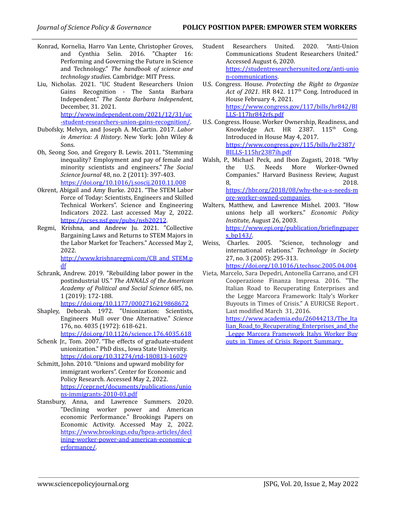- Konrad, Kornelia, Harro Van Lente, Christopher Groves, and Cynthia Selin. 2016. "Chapter 16: Performing and Governing the Future in Science and Technology." *The handbook of science and technology studies*. Cambridge: MIT Press.
- Liu, Nicholas. 2021. "UC Student Researchers Union Gains Recognition - The Santa Barbara Independent." *The Santa Barbara Independent*, December, 31. 2021. [http://www.independent.com/2021/12/31/uc](https://www.independent.com/2021/12/31/uc-student-researchers-union-gains-recognition/) [-student-researchers-union-gains-recognition/.](https://www.independent.com/2021/12/31/uc-student-researchers-union-gains-recognition/)
- Dubofsky, Melvyn, and Joseph A. McCartin. 2017. *Labor in America: A History*. New York: John Wiley & Sons.
- Oh, Seong Soo, and Gregory B. Lewis. 2011. "Stemming inequality? Employment and pay of female and minority scientists and engineers." *The Social Science Journal* 48, no. 2 (2011): 397-403. <https://doi.org/10.1016/j.soscij.2010.11.008>
- Okrent, Abigail and Amy Burke. 2021. "The STEM Labor Force of Today: Scientists, Engineers and Skilled Technical Workers". Science and Engineering Indicators 2022. Last accessed May 2, 2022. <https://ncses.nsf.gov/pubs/nsb20212>.
- Regmi, Krishna, and Andrew Ju. 2021. "Collective Bargaining Laws and Returns to STEM Majors in the Labor Market for Teachers." Accessed May 2, 2022. [http://www.krishnaregmi.com/CB\\_and\\_STEM.p](http://www.krishnaregmi.com/CB_and_STEM.pdf) [df](http://www.krishnaregmi.com/CB_and_STEM.pdf)
- Schrank, Andrew. 2019. "Rebuilding labor power in the postindustrial US*." The ANNALS of the American Academy of Political and Social Science* 685, no. 1 (2019): 172-188. <https://doi.org/10.1177/0002716219868672>
- Shapley, Deborah. 1972. "Unionization: Scientists, Engineers Mull over One Alternative." *Science* 176, no. 4035 (1972): 618-621. <https://doi.org/10.1126/science.176.4035.618>
- Schenk Jr., Tom. 2007. "The effects of graduate-student unionization." PhD diss., Iowa State University. <https://doi.org/10.31274/rtd-180813-16029>
- Schmitt, John. 2010. "Unions and upward mobility for immigrant workers". Center for Economic and Policy Research. Accessed May 2, 2022. [https://cepr.net/documents/publications/unio](https://cepr.net/documents/publications/unions-immigrants-2010-03.pdf) [ns-immigrants-2010-03.pdf](https://cepr.net/documents/publications/unions-immigrants-2010-03.pdf)
- Stansbury, Anna, and Lawrence Summers. 2020. "Declining worker power and American economic Performance." Brookings Papers on Economic Activity. Accessed May 2, 2022. [https://www.brookings.edu/bpea-articles/decl](https://www.brookings.edu/bpea-articles/declining-worker-power-and-american-economic-performance/) [ining-worker-power-and-american-economic-p](https://www.brookings.edu/bpea-articles/declining-worker-power-and-american-economic-performance/) [erformance/.](https://www.brookings.edu/bpea-articles/declining-worker-power-and-american-economic-performance/)
- Student Researchers United. 2020. "Anti-Union Communications Student Researchers United." Accessed August 6, 2020. [https://studentresearchersunited.org/anti-unio](https://studentresearchersunited.org/anti-union-communications) [n-communications](https://studentresearchersunited.org/anti-union-communications).
- U.S. Congress. House. *Protecting the Right to Organize Act of 2021*. HR 842. 117 th Cong. Introduced in House February 4, 2021. [https://www.congress.gov/117/bills/hr842/BI](https://www.congress.gov/117/bills/hr842/BILLS-117hr842rfs.pdf) [LLS-117hr842rfs.pdf](https://www.congress.gov/117/bills/hr842/BILLS-117hr842rfs.pdf)
- U.S. Congress. House. Worker Ownership, Readiness, and Knowledge Act. HR 2387. 115<sup>th</sup> Cong. Introduced in House May 4, 2017. [https://www.congress.gov/115/bills/hr2387/](https://www.congress.gov/115/bills/hr2387/BILLS-115hr2387ih.pdf) [BILLS-115hr2387ih.pdf](https://www.congress.gov/115/bills/hr2387/BILLS-115hr2387ih.pdf)
- Walsh, P., Michael Peck, and Ibon Zugasti, 2018. "Why the U.S. Needs More Worker-Owned Companies." Harvard Business Review, August 8, 2018. [https://hbr.org/2018/08/why-the-u-s-needs-m](https://hbr.org/2018/08/why-the-u-s-needs-more-worker-owned-companies) [ore-worker-owned-companies.](https://hbr.org/2018/08/why-the-u-s-needs-more-worker-owned-companies)
- Walters, Matthew, and Lawrence Mishel. 2003. "How unions help all workers." *Economic Policy Institute*, August 26, 2003. [https://www.epi.org/publication/briefingpaper](https://www.epi.org/publication/briefingpapers_bp143/) s  $b\nu$ 143/.
- Weiss, Charles. 2005. "Science, technology and international relations." *Technology in Society* 27, no. 3 (2005): 295-313.

<https://doi.org/10.1016/j.techsoc.2005.04.004>

Vieta, Marcelo, Sara Depedri, Antonella Carrano, and CFI Cooperazione Finanza Impresa. 2016. "The Italian Road to Recuperating Enterprises and the Legge Marcora Framework: Italy's Worker Buyouts in Times of Crisis." A EURICSE Report . Last modified March 31, 2016.

[https://www.academia.edu/26044213/The\\_Ita](https://www.academia.edu/26044213/The_Italian_Road_to_Recuperating_Enterprises_and_the_Legge_Marcora_Framework_Italys_Worker_Buyouts_in_Times_of_Crisis_Report_Summary_) [lian\\_Road\\_to\\_Recuperating\\_Enterprises\\_and\\_the](https://www.academia.edu/26044213/The_Italian_Road_to_Recuperating_Enterprises_and_the_Legge_Marcora_Framework_Italys_Worker_Buyouts_in_Times_of_Crisis_Report_Summary_) Legge Marcora Framework Italys Worker Buy outs in Times of Crisis Report Summary